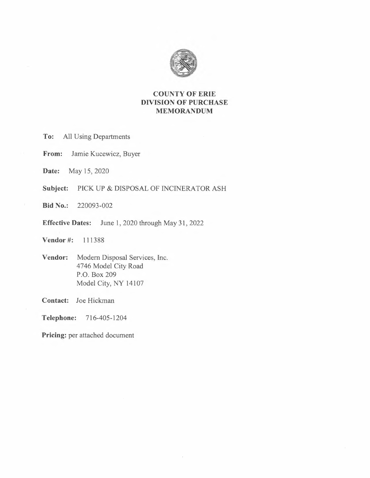

## **COUNTY OF ERIE DIVISION OF PURCHASE MEMORANDUM**

- **To:** All Using Departments
- **From:** Jamie Kucewicz, Buyer
- **Date:** May 15, 2020
- **Subject:** PICK UP & DISPOSAL OF INCINERATOR ASH
- **Bid No.:** 220093-002
- **Effective Dates:** June 1, 2020 through May 31, 2022

**Vendor#:** 111388

**Vendor:** Modern Disposal Services, Inc. 4746 Model City Road P.O. Box 209 Model City, NY 14107

**Contact:** Joe Hickman

**Telephone:** 716-405-1204

Pricing: per attached document